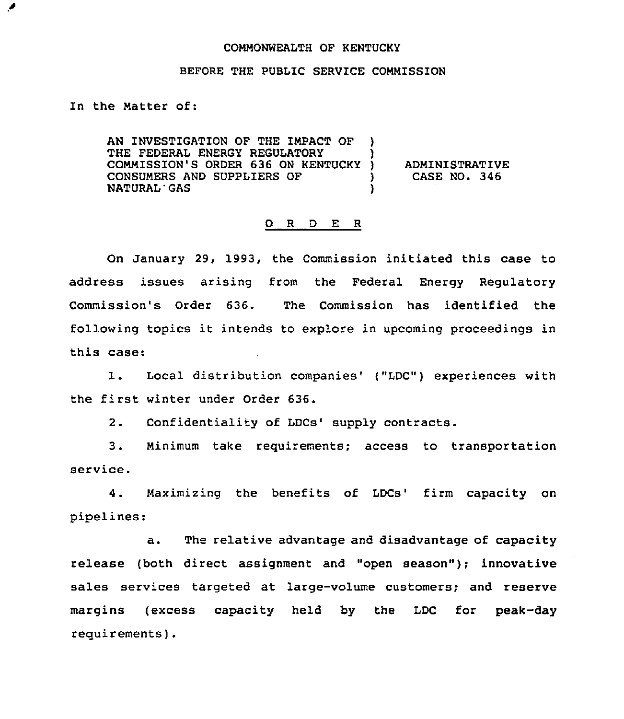## COMMONWEALTH OF KENTUCKY

## BEFORE THE PUBLIC SERVICE COMMISSION

In the Matter of:

◢

AN INVESTIGATION OF THE IMPACT OF ) THE FEDERAL ENERGY REGULATORY COMMISSION'S ORDER 636 ON KENTUCKY )<br>CONSUMERS AND SUPPLIERS OF CONSUMERS AND SUPPLIERS OF NATURAL'GAS )

ADMINISTRATIVE CASE NO. 346

## 0 <sup>R</sup> <sup>D</sup> E <sup>R</sup>

On January 29, 1993, the Commission initiated this case to address issues arising from the Federal Energy Regulatory Commission's Order 636. The Commission has identified the following topics it intends to explore in upcoming proceedings in this case:

1. Local distribution companies' ("LDC") experiences with the first winter under Order 636.

Confidentiality of LDCs' supply contracts.  $2.$ 

3. Minimum take requirements; access to transportation service.

4. Maximizing the benefits of LDCs' firm capacity on pipelines:

a. The relative advantage and disadvantage of capacity release (both direct assignment and "open season"); innovative sales services targeted at large-volume customers; and reserve margins (excess capacity held by the LDC for peak-day requirements).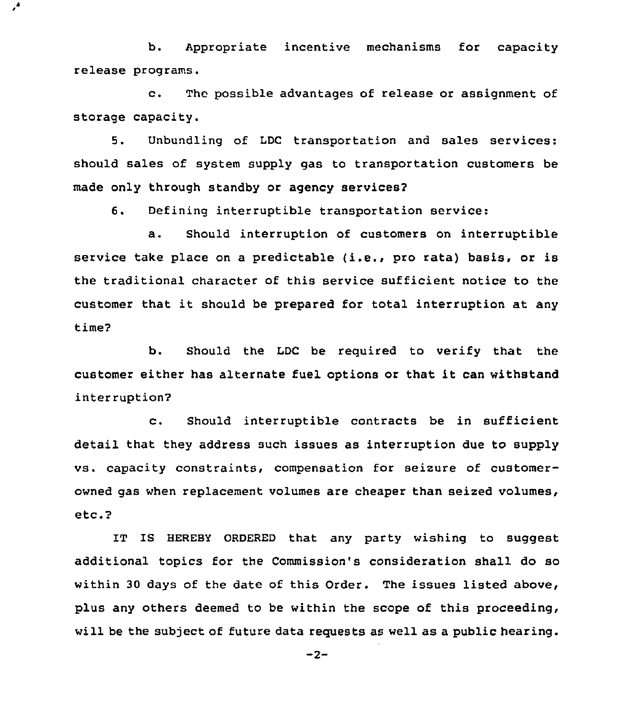b. Appropriate incentive mechanisms for capacity release programs.

 $\epsilon^{\prime}$ 

c. The possible advantages of release or assignment of storage capacity.

5. Unbundling of LDC transportation and sales services: should sales of system supply gas to transportation customers be made only through standby or agency services2

6. Defining interruptible transportation service:

a. Should interruption of customers on interruptible service take place on a predictable (i.e., pro rata) basis, or is the traditional character of this service sufficient notice to the customer that it should be prepared for total interruption at any time?

b. Should the LDC be required to verify that the customer either has alternate fuel options or that it can withstand interruption?

c. Should interruptible contracts be in sufficient detail that they address such issues as interruption due to supply vs. capacity constraints, compensation for seizure of customerowned gas when replacement volumes are cheaper than seized volumes, etc.2

IT IS HEREBY ORDERED that any party wishing to suggest additional topics for the Commission's consideration shall do so within 30 days of the date of this Order. The issues listed above, plus any others deemed to be within the scope of this proceeding, will be the subject of future data requests as well as a public hearing.

 $-2-$